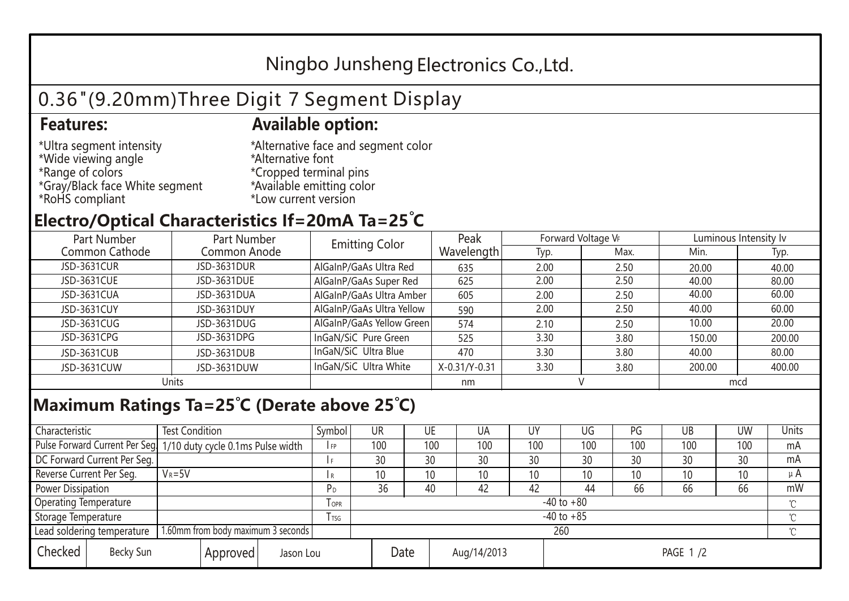## Ningbo Junsheng Electronics Co.,Ltd.

# 0.36"(9.20mm)Three Digit 7 Segment Display

#### **Features: Available option:**

- \*Ultra segment intensity \*Wide viewing angle \*Range of colors \*Gray/Black face White segment \*RoHS compliant
- \*Alternative face and segment color \*Alternative font \*Cropped terminal pins \*Available emitting color \*Low current version

### **Electro/Optical Characteristics If=20mA Ta=25 C**

| Part Number<br>Part Number |              | <b>Emitting Color</b>     | Peak          | Forward Voltage VF |      | Luminous Intensity lv |        |  |
|----------------------------|--------------|---------------------------|---------------|--------------------|------|-----------------------|--------|--|
| Common Cathode             | Common Anode |                           | Wavelength    | Typ.               | Max. | Min.                  | Typ.   |  |
| JSD-3631CUR                | JSD-3631DUR  | AlGaInP/GaAs Ultra Red    | 635           | 2.00               | 2.50 | 20.00                 | 40.00  |  |
| JSD-3631CUE                | JSD-3631DUE  | AlGaInP/GaAs Super Red    | 625           | 2.00               | 2.50 | 40.00                 | 80.00  |  |
| JSD-3631CUA                | JSD-3631DUA  | AlGaInP/GaAs Ultra Amber  | 605           | 2.00               | 2.50 | 40.00                 | 60.00  |  |
| JSD-3631CUY                | JSD-3631DUY  | AlGaInP/GaAs Ultra Yellow | 590           | 2.00               | 2.50 | 40.00                 | 60.00  |  |
| JSD-3631CUG                | JSD-3631DUG  | AlGaInP/GaAs Yellow Green | 574           | 2.10               | 2.50 | 10.00                 | 20.00  |  |
| JSD-3631CPG                | JSD-3631DPG  | InGaN/SiC Pure Green      | 525           | 3.30               | 3.80 | 150.00                | 200.00 |  |
| JSD-3631CUB                | JSD-3631DUB  | InGaN/SiC Ultra Blue      | 470           | 3.30               | 3.80 | 40.00                 | 80.00  |  |
| JSD-3631CUW                | JSD-3631DUW  | InGaN/SiC Ultra White     | X-0.31/Y-0.31 | 3.30               | 3.80 | 200.00                | 400.00 |  |
| Units                      |              |                           | nm            |                    |      | mcd                   |        |  |

### **Maximum Ratings Ta=25°C (Derate above 25°C)**

| Characteristic               |  | <b>Test Condition</b>                                            |                         |  | Symbol         | UR              |     | UE          | UA              | UY              | UG  | PG  | UB  | <b>UW</b> | Units   |
|------------------------------|--|------------------------------------------------------------------|-------------------------|--|----------------|-----------------|-----|-------------|-----------------|-----------------|-----|-----|-----|-----------|---------|
|                              |  | Pulse Forward Current Per Seg. 1/10 duty cycle 0.1ms Pulse width |                         |  | IFP            |                 | 100 | 100         | 100             | 100             | 100 | 100 | 100 | 100       | mA      |
| DC Forward Current Per Seg.  |  |                                                                  |                         |  | I F            |                 | 30  | 30          | 30              | 30              | 30  | 30  | 30  | 30        | mA      |
| Reverse Current Per Seg.     |  | $V_R = 5V$                                                       |                         |  | l R            |                 | 10  | 10          | 10 <sup>°</sup> | 10              | 10  | 10  | 10  | 10        | $\mu$ A |
| <b>Power Dissipation</b>     |  |                                                                  |                         |  |                |                 | 36  | 40          | 42              | 42              | 44  | 66  | 66  | 66        | mW      |
| <b>Operating Temperature</b> |  |                                                                  | <b>TOPR</b>             |  | $-40$ to $+80$ |                 |     |             |                 |                 |     |     |     |           |         |
| Storage Temperature          |  |                                                                  | <b>T</b> <sub>TSG</sub> |  | $-40$ to $+85$ |                 |     |             |                 |                 |     |     |     |           |         |
| Lead soldering temperature   |  | 1.60mm from body maximum 3 seconds                               |                         |  |                | 260<br>$\gamma$ |     |             |                 |                 |     |     |     |           |         |
| Checked<br>Becky Sun         |  | Approved                                                         | Jason Lou               |  |                | Date            |     | Aug/14/2013 |                 | <b>PAGE 1/2</b> |     |     |     |           |         |